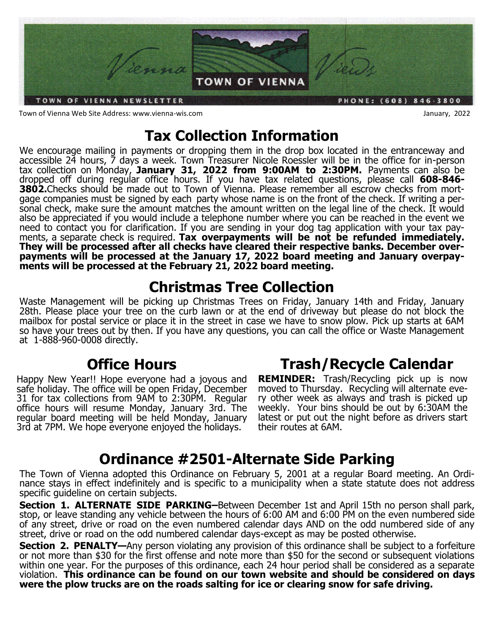

Town of Vienna Web Site Address: www.vienna-wis.com January, 2022

# **Tax Collection Information**

We encourage mailing in payments or dropping them in the drop box located in the entranceway and accessible 24 hours, 7 days a week. Town Treasurer Nicole Roessler will be in the office for in-person tax collection on Monday, **January 31, 2022 from 9:00AM to 2:30PM.** Payments can also be dropped off during regular office hours. If you have tax related questions, please call **608-846- 3802.**Checks should be made out to Town of Vienna. Please remember all escrow checks from mortgage companies must be signed by each party whose name is on the front of the check. If writing a personal check, make sure the amount matches the amount written on the legal line of the check. It would also be appreciated if you would include a telephone number where you can be reached in the event we need to contact you for clarification. If you are sending in your dog tag application with your tax payments, a separate check is required. **Tax overpayments will be not be refunded immediately. They will be processed after all checks have cleared their respective banks. December overpayments will be processed at the January 17, 2022 board meeting and January overpayments will be processed at the February 21, 2022 board meeting.** 

# **Christmas Tree Collection**

Waste Management will be picking up Christmas Trees on Friday, January 14th and Friday, January 28th. Please place your tree on the curb lawn or at the end of driveway but please do not block the mailbox for postal service or place it in the street in case we have to snow plow. Pick up starts at 6AM so have your trees out by then. If you have any questions, you can call the office or Waste Management at 1-888-960-0008 directly.

# **Office Hours**

Happy New Year!! Hope everyone had a joyous and safe holiday. The office will be open Friday, December 31 for tax collections from 9AM to 2:30PM. Regular office hours will resume Monday, January 3rd. The regular board meeting will be held Monday, January 3rd at 7PM. We hope everyone enjoyed the holidays.

# **Trash/Recycle Calendar**

**REMINDER:** Trash/Recycling pick up is now moved to Thursday. Recycling will alternate every other week as always and trash is picked up weekly. Your bins should be out by 6:30AM the latest or put out the night before as drivers start their routes at 6AM.

# **Ordinance #2501-Alternate Side Parking**

The Town of Vienna adopted this Ordinance on February 5, 2001 at a regular Board meeting. An Ordinance stays in effect indefinitely and is specific to a municipality when a state statute does not address specific guideline on certain subjects.

**Section 1. ALTERNATE SIDE PARKING–**Between December 1st and April 15th no person shall park, stop, or leave standing any vehicle between the hours of 6:00 AM and 6:00 PM on the even numbered side of any street, drive or road on the even numbered calendar days AND on the odd numbered side of any street, drive or road on the odd numbered calendar days-except as may be posted otherwise.

**Section 2. PENALTY—Any person violating any provision of this ordinance shall be subject to a forfeiture** or not more than \$30 for the first offense and note more than \$50 for the second or subsequent violations within one year. For the purposes of this ordinance, each 24 hour period shall be considered as a separate violation. **This ordinance can be found on our town website and should be considered on days were the plow trucks are on the roads salting for ice or clearing snow for safe driving.**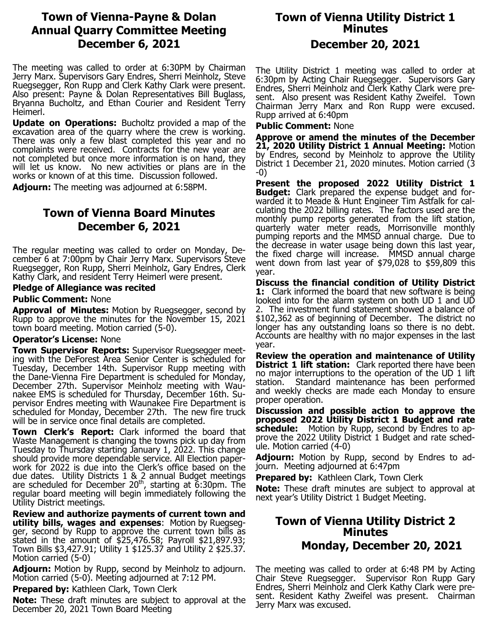## **Town of Vienna-Payne & Dolan Annual Quarry Committee Meeting December 6, 2021**

The meeting was called to order at 6:30PM by Chairman Jerry Marx. Supervisors Gary Endres, Sherri Meinholz, Steve Ruegsegger, Ron Rupp and Clerk Kathy Clark were present. Also present: Payne & Dolan Representatives Bill Buglass, Bryanna Bucholtz, and Ethan Courier and Resident Terry Heimerl.

**Update on Operations:** Bucholtz provided a map of the excavation area of the quarry where the crew is working. There was only a few blast completed this year and no complaints were received. Contracts for the new year are not completed but once more information is on hand, they will let us know. No new activities or plans are in the works or known of at this time. Discussion followed.

**Adjourn:** The meeting was adjourned at 6:58PM.

## **Town of Vienna Board Minutes December 6, 2021**

The regular meeting was called to order on Monday, December 6 at 7:00pm by Chair Jerry Marx. Supervisors Steve Ruegsegger, Ron Rupp, Sherri Meinholz, Gary Endres, Clerk Kathy Clark, and resident Terry Heimerl were present.

### **Pledge of Allegiance was recited**

### **Public Comment:** None

**Approval of Minutes:** Motion by Ruegsegger, second by Rupp to approve the minutes for the November 15, 2021 town board meeting. Motion carried (5-0).

### **Operator's License:** None

**Town Supervisor Reports:** Supervisor Ruegsegger meeting with the DeForest Area Senior Center is scheduled for Tuesday, December 14th. Supervisor Rupp meeting with the Dane-Vienna Fire Department is scheduled for Monday, December 27th. Supervisor Meinholz meeting with Waunakee EMS is scheduled for Thursday, December 16th. Supervisor Endres meeting with Waunakee Fire Department is scheduled for Monday, December 27th. The new fire truck will be in service once final details are completed.

**Town Clerk's Report:** Clark informed the board that Waste Management is changing the towns pick up day from Tuesday to Thursday starting January 1, 2022. This change should provide more dependable service. All Election paperwork for 2022 is due into the Clerk's office based on the due dates. Utility Districts 1 & 2 annual Budget meetings are scheduled for December  $20<sup>th</sup>$ , starting at 6:30pm. The regular board meeting will begin immediately following the Utility District meetings.

**Review and authorize payments of current town and utility bills, wages and expenses**: Motion by Ruegsegger, second by Rupp to approve the current town bills as stated in the amount of \$25,476.58; Payroll \$21,897.93; Town Bills \$3,427.91; Utility 1 \$125.37 and Utility 2 \$25.37. Motion carried (5-0)

**Adjourn:** Motion by Rupp, second by Meinholz to adjourn. Motion carried (5-0). Meeting adjourned at 7:12 PM.

**Prepared by:** Kathleen Clark, Town Clerk

**Note:** These draft minutes are subject to approval at the December 20, 2021 Town Board Meeting

# **Town of Vienna Utility District 1 Minutes**

## **December 20, 2021**

The Utility District 1 meeting was called to order at 6:30pm by Acting Chair Ruegsegger. Supervisors Gary Endres, Sherri Meinholz and Clerk Kathy Clark were present. Also present was Resident Kathy Zweifel. Town Chairman Jerry Marx and Ron Rupp were excused. Rupp arrived at 6:40pm

### **Public Comment:** None

**Approve or amend the minutes of the December 21, 2020 Utility District 1 Annual Meeting:** Motion by Endres, second by Meinholz to approve the Utility District 1 December 21, 2020 minutes. Motion carried (3 -0)

**Present the proposed 2022 Utility District 1 Budget:** Clark prepared the expense budget and forwarded it to Meade & Hunt Engineer Tim Astfalk for calculating the 2022 billing rates. The factors used are the monthly pump reports generated from the lift station, quarterly water meter reads, Morrisonville monthly pumping reports and the MMSD annual charge. Due to the decrease in water usage being down this last year, the fixed charge will increase. MMSD annual charge went down from last year of \$79,028 to \$59,809 this year.

**Discuss the financial condition of Utility District 1:** Clark informed the board that new software is being looked into for the alarm system on both UD 1 and UD 2. The investment fund statement showed a balance of \$102,362 as of beginning of December. The district no longer has any outstanding loans so there is no debt. Accounts are healthy with no major expenses in the last year.

**Review the operation and maintenance of Utility District 1 lift station:** Clark reported there have been no major interruptions to the operation of the UD 1 lift station. Standard maintenance has been performed and weekly checks are made each Monday to ensure proper operation.

**Discussion and possible action to approve the proposed 2022 Utility District 1 Budget and rate schedule:** Motion by Rupp, second by Endres to approve the 2022 Utility District 1 Budget and rate schedule. Motion carried (4-0)

**Adjourn:** Motion by Rupp, second by Endres to adjourn. Meeting adjourned at 6:47pm

**Prepared by:** Kathleen Clark, Town Clerk

**Note:** These draft minutes are subject to approval at next year's Utility District 1 Budget Meeting.

## **Town of Vienna Utility District 2 Minutes Monday, December 20, 2021**

The meeting was called to order at 6:48 PM by Acting Chair Steve Ruegsegger. Supervisor Ron Rupp Gary Endres, Sherri Meinholz and Clerk Kathy Clark were present. Resident Kathy Zweifel was present. Chairman Jerry Marx was excused.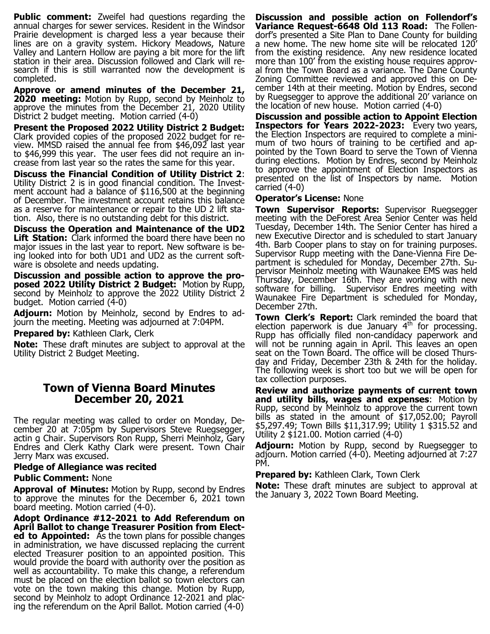**Public comment:** Zweifel had questions regarding the annual charges for sewer services. Resident in the Windsor Prairie development is charged less a year because their lines are on a gravity system. Hickory Meadows, Nature Valley and Lantern Hollow are paying a bit more for the lift station in their area. Discussion followed and Clark will research if this is still warranted now the development is completed.

**Approve or amend minutes of the December 21, 2020 meeting:** Motion by Rupp, second by Meinholz to approve the minutes from the December 21, 2020 Utility District 2 budget meeting. Motion carried (4-0)

**Present the Proposed 2022 Utility District 2 Budget:**  Clark provided copies of the proposed 2022 budget for review. MMSD raised the annual fee from \$46,092 last year to \$46,999 this year. The user fees did not require an increase from last year so the rates the same for this year.

**Discuss the Financial Condition of Utility District 2**: Utility District 2 is in good financial condition. The Investment account had a balance of \$116,500 at the beginning of December. The investment account retains this balance as a reserve for maintenance or repair to the UD 2 lift station. Also, there is no outstanding debt for this district.

**Discuss the Operation and Maintenance of the UD2 Lift Station:** Clark informed the board there have been no major issues in the last year to report. New software is being looked into for both UD1 and UD2 as the current software is obsolete and needs updating.

**Discussion and possible action to approve the proposed 2022 Utility District 2 Budget:** Motion by Rupp, second by Meinholz to approve the 2022 Utility District 2 budget. Motion carried (4-0)

**Adjourn:** Motion by Meinholz, second by Endres to adjourn the meeting. Meeting was adjourned at 7:04PM.

**Prepared by: Kathleen Clark, Clerk** 

**Note:** These draft minutes are subject to approval at the Utility District 2 Budget Meeting.

## **Town of Vienna Board Minutes December 20, 2021**

The regular meeting was called to order on Monday, December 20 at 7:05pm by Supervisors Steve Ruegsegger, actin g Chair. Supervisors Ron Rupp, Sherri Meinholz, Gary Endres and Clerk Kathy Clark were present. Town Chair Jerry Marx was excused.

### **Pledge of Allegiance was recited**

### **Public Comment:** None

**Approval of Minutes:** Motion by Rupp, second by Endres to approve the minutes for the December 6, 2021 town board meeting. Motion carried (4-0).

**Adopt Ordinance #12-2021 to Add Referendum on April Ballot to change Treasurer Position from Elected to Appointed:** As the town plans for possible changes in administration, we have discussed replacing the current elected Treasurer position to an appointed position. This would provide the board with authority over the position as well as accountability. To make this change, a referendum must be placed on the election ballot so town electors can vote on the town making this change. Motion by Rupp, second by Meinholz to adopt Ordinance 12-2021 and placing the referendum on the April Ballot. Motion carried (4-0)

**Discussion and possible action on Follendorf's Variance Request-6648 Old 113 Road:** The Follendorf's presented a Site Plan to Dane County for building a new home. The new home site will be relocated 120' from the existing residence. Any new residence located more than 100' from the existing house requires approval from the Town Board as a variance. The Dane County Zoning Committee reviewed and approved this on December 14th at their meeting. Motion by Endres, second by Ruegsegger to approve the additional 20' variance on the location of new house. Motion carried (4-0)

**Discussion and possible action to Appoint Election Inspectors for Years 2022-2023:** Every two years, the Election Inspectors are required to complete a minimum of two hours of training to be certified and appointed by the Town Board to serve the Town of Vienna during elections. Motion by Endres, second by Meinholz to approve the appointment of Election Inspectors as presented on the list of Inspectors by name. Motion carried (4-0)

### **Operator's License:** None

**Town Supervisor Reports:** Supervisor Ruegsegger meeting with the DeForest Area Senior Center was held Tuesday, December 14th. The Senior Center has hired a new Executive Director and is scheduled to start January 4th. Barb Cooper plans to stay on for training purposes. Supervisor Rupp meeting with the Dane-Vienna Fire Department is scheduled for Monday, December 27th. Supervisor Meinholz meeting with Waunakee EMS was held Thursday, December 16th. They are working with new software for billing. Supervisor Endres meeting with Waunakee Fire Department is scheduled for Monday, December 27th.

**Town Clerk's Report:** Clark reminded the board that election paperwork is due January  $4<sup>th</sup>$  for processing. Rupp has officially filed non-candidacy paperwork and will not be running again in April. This leaves an open seat on the Town Board. The office will be closed Thursday and Friday, December 23th & 24th for the holiday. The following week is short too but we will be open for tax collection purposes.

**Review and authorize payments of current town and utility bills, wages and expenses**: Motion by Rupp, second by Meinholz to approve the current town bills as stated in the amount of \$17,052.00; Payroll \$5,297.49; Town Bills \$11,317.99; Utility 1 \$315.52 and Utility 2 \$121.00. Motion carried (4-0)

**Adjourn:** Motion by Rupp, second by Ruegsegger to adjourn. Motion carried (4-0). Meeting adjourned at 7:27 PM.

**Prepared by:** Kathleen Clark, Town Clerk

**Note:** These draft minutes are subject to approval at the January 3, 2022 Town Board Meeting.